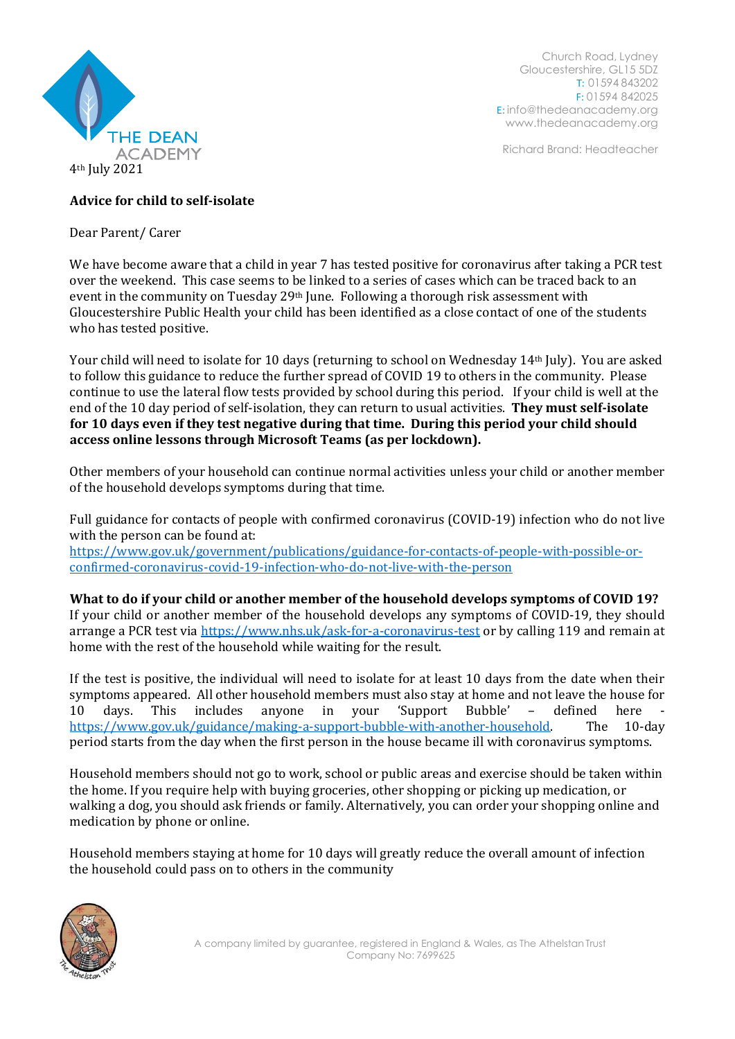

Church Road, Lydney Gloucestershire, GL15 5DZ T: 01594 843202 F: 01594 842025 E: [info@thedeanacademy.org](mailto:info@thedeanacademy.org) [www.thedeanacademy.org](http://www.thedeanacademy.org/)

Richard Brand: Headteacher

## **Advice for child to self-isolate**

Dear Parent/ Carer

We have become aware that a child in year 7 has tested positive for coronavirus after taking a PCR test over the weekend. This case seems to be linked to a series of cases which can be traced back to an event in the community on Tuesday 29<sup>th</sup> June. Following a thorough risk assessment with Gloucestershire Public Health your child has been identified as a close contact of one of the students who has tested positive.

Your child will need to isolate for 10 days (returning to school on Wednesday 14th July). You are asked to follow this guidance to reduce the further spread of COVID 19 to others in the community. Please continue to use the lateral flow tests provided by school during this period. If your child is well at the end of the 10 day period of self-isolation, they can return to usual activities. **They must self-isolate for 10 days even if they test negative during that time. During this period your child should access online lessons through Microsoft Teams (as per lockdown).**

Other members of your household can continue normal activities unless your child or another member of the household develops symptoms during that time.

Full guidance for contacts of people with confirmed coronavirus (COVID-19) infection who do not live with the person can be found at:

[https://www.gov.uk/government/publications/guidance-for-contacts-of-people-with-possible-or](https://www.gov.uk/government/publications/guidance-for-contacts-of-people-with-possible-or-confirmed-coronavirus-covid-19-infection-who-do-not-live-with-the-person)[confirmed-coronavirus-covid-19-infection-who-do-not-live-with-the-person](https://www.gov.uk/government/publications/guidance-for-contacts-of-people-with-possible-or-confirmed-coronavirus-covid-19-infection-who-do-not-live-with-the-person)

**What to do if your child or another member of the household develops symptoms of COVID 19?** If your child or another member of the household develops any symptoms of COVID-19, they should arrange a PCR test via<https://www.nhs.uk/ask-for-a-coronavirus-test> or by calling 119 and remain at home with the rest of the household while waiting for the result.

If the test is positive, the individual will need to isolate for at least 10 days from the date when their symptoms appeared. All other household members must also stay at home and not leave the house for 10 days. This includes anyone in your 'Support Bubble' - defined here [https://www.gov.uk/guidance/making-a-support-bubble-with-another-household.](https://www.gov.uk/guidance/making-a-support-bubble-with-another-household) The 10-day period starts from the day when the first person in the house became ill with coronavirus symptoms.

Household members should not go to work, school or public areas and exercise should be taken within the home. If you require help with buying groceries, other shopping or picking up medication, or walking a dog, you should ask friends or family. Alternatively, you can order your shopping online and medication by phone or online.

Household members staying at home for 10 days will greatly reduce the overall amount of infection the household could pass on to others in the community